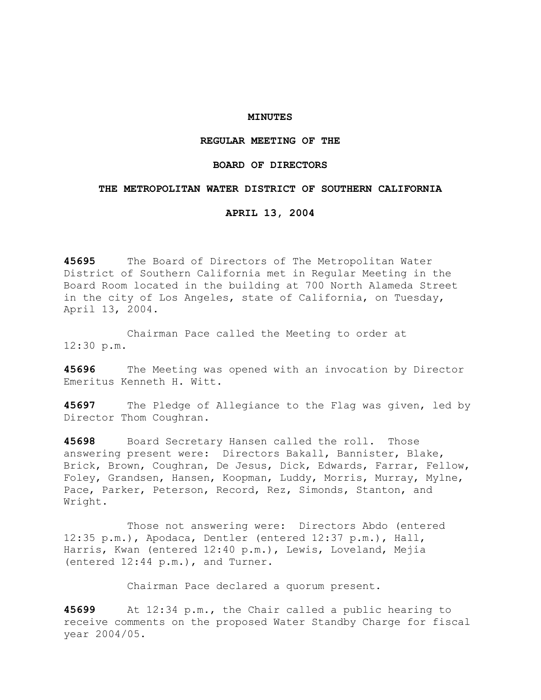## **MINUTES**

# **REGULAR MEETING OF THE**

# **BOARD OF DIRECTORS**

### **THE METROPOLITAN WATER DISTRICT OF SOUTHERN CALIFORNIA**

### **APRIL 13, 2004**

**45695** The Board of Directors of The Metropolitan Water District of Southern California met in Regular Meeting in the Board Room located in the building at 700 North Alameda Street in the city of Los Angeles, state of California, on Tuesday, April 13, 2004.

 Chairman Pace called the Meeting to order at 12:30 p.m.

**45696** The Meeting was opened with an invocation by Director Emeritus Kenneth H. Witt.

**45697** The Pledge of Allegiance to the Flag was given, led by Director Thom Coughran.

**45698** Board Secretary Hansen called the roll. Those answering present were: Directors Bakall, Bannister, Blake, Brick, Brown, Coughran, De Jesus, Dick, Edwards, Farrar, Fellow, Foley, Grandsen, Hansen, Koopman, Luddy, Morris, Murray, Mylne, Pace, Parker, Peterson, Record, Rez, Simonds, Stanton, and Wright.

 Those not answering were: Directors Abdo (entered 12:35 p.m.), Apodaca, Dentler (entered 12:37 p.m.), Hall, Harris, Kwan (entered 12:40 p.m.), Lewis, Loveland, Mejia (entered 12:44 p.m.), and Turner.

Chairman Pace declared a quorum present.

**45699** At 12:34 p.m., the Chair called a public hearing to receive comments on the proposed Water Standby Charge for fiscal year 2004/05.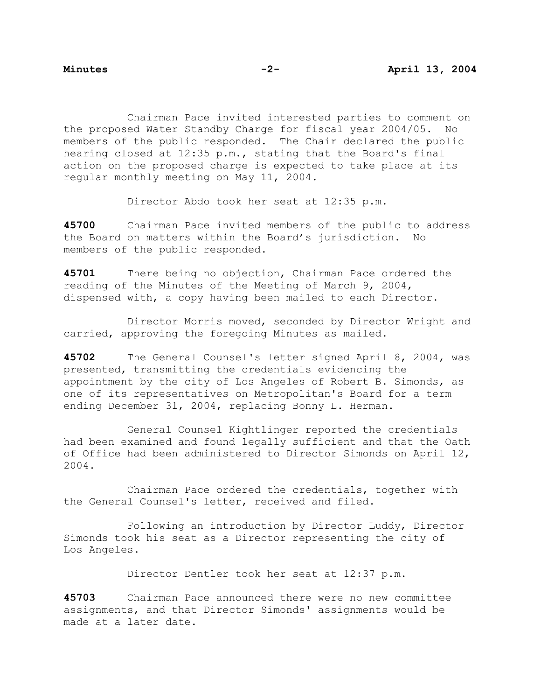Chairman Pace invited interested parties to comment on the proposed Water Standby Charge for fiscal year 2004/05. No members of the public responded. The Chair declared the public hearing closed at 12:35 p.m., stating that the Board's final action on the proposed charge is expected to take place at its regular monthly meeting on May 11, 2004.

Director Abdo took her seat at 12:35 p.m.

**45700** Chairman Pace invited members of the public to address the Board on matters within the Board's jurisdiction. No members of the public responded.

**45701** There being no objection, Chairman Pace ordered the reading of the Minutes of the Meeting of March 9, 2004, dispensed with, a copy having been mailed to each Director.

 Director Morris moved, seconded by Director Wright and carried, approving the foregoing Minutes as mailed.

**45702** The General Counsel's letter signed April 8, 2004, was presented, transmitting the credentials evidencing the appointment by the city of Los Angeles of Robert B. Simonds, as one of its representatives on Metropolitan's Board for a term ending December 31, 2004, replacing Bonny L. Herman.

 General Counsel Kightlinger reported the credentials had been examined and found legally sufficient and that the Oath of Office had been administered to Director Simonds on April 12, 2004.

 Chairman Pace ordered the credentials, together with the General Counsel's letter, received and filed.

 Following an introduction by Director Luddy, Director Simonds took his seat as a Director representing the city of Los Angeles.

Director Dentler took her seat at 12:37 p.m.

**45703** Chairman Pace announced there were no new committee assignments, and that Director Simonds' assignments would be made at a later date.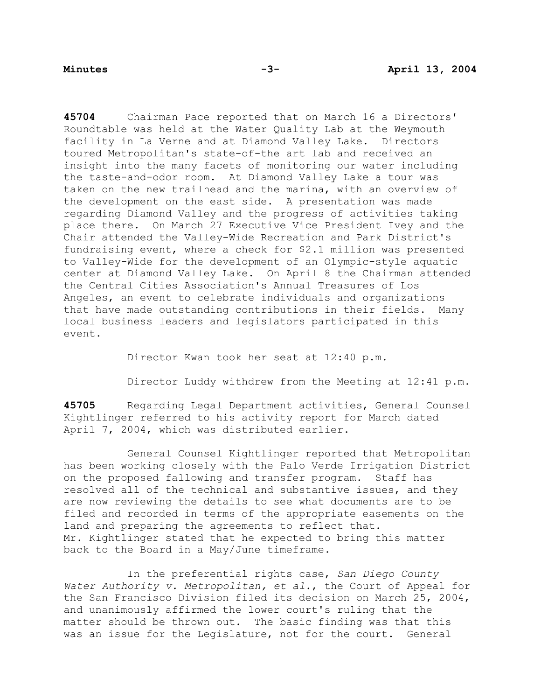**45704** Chairman Pace reported that on March 16 a Directors' Roundtable was held at the Water Quality Lab at the Weymouth facility in La Verne and at Diamond Valley Lake. Directors toured Metropolitan's state-of-the art lab and received an insight into the many facets of monitoring our water including the taste-and-odor room. At Diamond Valley Lake a tour was taken on the new trailhead and the marina, with an overview of the development on the east side. A presentation was made regarding Diamond Valley and the progress of activities taking place there. On March 27 Executive Vice President Ivey and the Chair attended the Valley-Wide Recreation and Park District's fundraising event, where a check for \$2.1 million was presented to Valley-Wide for the development of an Olympic-style aquatic center at Diamond Valley Lake. On April 8 the Chairman attended the Central Cities Association's Annual Treasures of Los Angeles, an event to celebrate individuals and organizations that have made outstanding contributions in their fields. Many local business leaders and legislators participated in this event.

Director Kwan took her seat at 12:40 p.m.

Director Luddy withdrew from the Meeting at 12:41 p.m.

**45705** Regarding Legal Department activities, General Counsel Kightlinger referred to his activity report for March dated April 7, 2004, which was distributed earlier.

 General Counsel Kightlinger reported that Metropolitan has been working closely with the Palo Verde Irrigation District on the proposed fallowing and transfer program. Staff has resolved all of the technical and substantive issues, and they are now reviewing the details to see what documents are to be filed and recorded in terms of the appropriate easements on the land and preparing the agreements to reflect that. Mr. Kightlinger stated that he expected to bring this matter back to the Board in a May/June timeframe.

 In the preferential rights case, *San Diego County Water Authority v. Metropolitan, et al*., the Court of Appeal for the San Francisco Division filed its decision on March 25, 2004, and unanimously affirmed the lower court's ruling that the matter should be thrown out. The basic finding was that this was an issue for the Legislature, not for the court. General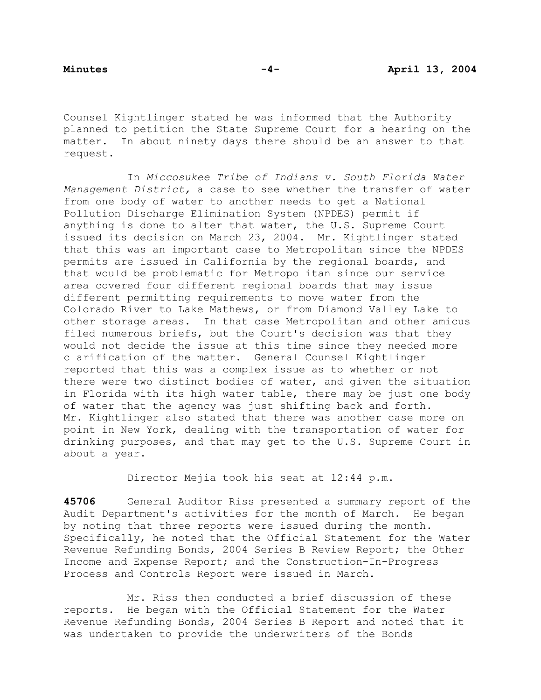Counsel Kightlinger stated he was informed that the Authority planned to petition the State Supreme Court for a hearing on the matter. In about ninety days there should be an answer to that request.

 In *Miccosukee Tribe of Indians v. South Florida Water Management District,* a case to see whether the transfer of water from one body of water to another needs to get a National Pollution Discharge Elimination System (NPDES) permit if anything is done to alter that water, the U.S. Supreme Court issued its decision on March 23, 2004. Mr. Kightlinger stated that this was an important case to Metropolitan since the NPDES permits are issued in California by the regional boards, and that would be problematic for Metropolitan since our service area covered four different regional boards that may issue different permitting requirements to move water from the Colorado River to Lake Mathews, or from Diamond Valley Lake to other storage areas. In that case Metropolitan and other amicus filed numerous briefs, but the Court's decision was that they would not decide the issue at this time since they needed more clarification of the matter. General Counsel Kightlinger reported that this was a complex issue as to whether or not there were two distinct bodies of water, and given the situation in Florida with its high water table, there may be just one body of water that the agency was just shifting back and forth. Mr. Kightlinger also stated that there was another case more on point in New York, dealing with the transportation of water for drinking purposes, and that may get to the U.S. Supreme Court in about a year.

Director Mejia took his seat at 12:44 p.m.

**45706** General Auditor Riss presented a summary report of the Audit Department's activities for the month of March. He began by noting that three reports were issued during the month. Specifically, he noted that the Official Statement for the Water Revenue Refunding Bonds, 2004 Series B Review Report; the Other Income and Expense Report; and the Construction-In-Progress Process and Controls Report were issued in March.

 Mr. Riss then conducted a brief discussion of these reports. He began with the Official Statement for the Water Revenue Refunding Bonds, 2004 Series B Report and noted that it was undertaken to provide the underwriters of the Bonds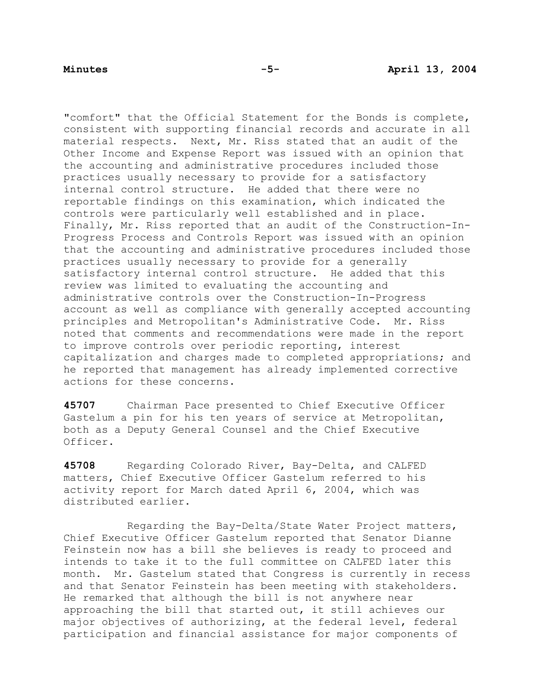"comfort" that the Official Statement for the Bonds is complete, consistent with supporting financial records and accurate in all material respects. Next, Mr. Riss stated that an audit of the Other Income and Expense Report was issued with an opinion that the accounting and administrative procedures included those practices usually necessary to provide for a satisfactory internal control structure. He added that there were no reportable findings on this examination, which indicated the controls were particularly well established and in place. Finally, Mr. Riss reported that an audit of the Construction-In-Progress Process and Controls Report was issued with an opinion that the accounting and administrative procedures included those practices usually necessary to provide for a generally satisfactory internal control structure. He added that this review was limited to evaluating the accounting and administrative controls over the Construction-In-Progress account as well as compliance with generally accepted accounting principles and Metropolitan's Administrative Code. Mr. Riss noted that comments and recommendations were made in the report to improve controls over periodic reporting, interest capitalization and charges made to completed appropriations; and he reported that management has already implemented corrective actions for these concerns.

**45707** Chairman Pace presented to Chief Executive Officer Gastelum a pin for his ten years of service at Metropolitan, both as a Deputy General Counsel and the Chief Executive Officer.

**45708** Regarding Colorado River, Bay-Delta, and CALFED matters, Chief Executive Officer Gastelum referred to his activity report for March dated April 6, 2004, which was distributed earlier.

 Regarding the Bay-Delta/State Water Project matters, Chief Executive Officer Gastelum reported that Senator Dianne Feinstein now has a bill she believes is ready to proceed and intends to take it to the full committee on CALFED later this month. Mr. Gastelum stated that Congress is currently in recess and that Senator Feinstein has been meeting with stakeholders. He remarked that although the bill is not anywhere near approaching the bill that started out, it still achieves our major objectives of authorizing, at the federal level, federal participation and financial assistance for major components of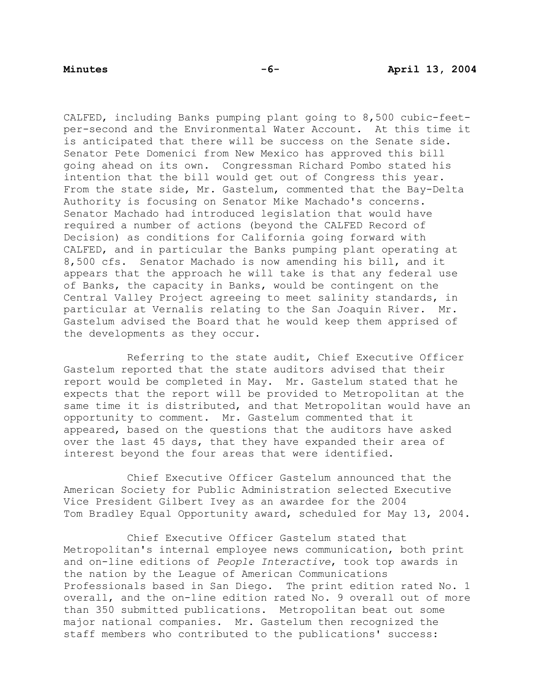CALFED, including Banks pumping plant going to 8,500 cubic-feetper-second and the Environmental Water Account. At this time it is anticipated that there will be success on the Senate side. Senator Pete Domenici from New Mexico has approved this bill going ahead on its own. Congressman Richard Pombo stated his intention that the bill would get out of Congress this year. From the state side, Mr. Gastelum, commented that the Bay-Delta Authority is focusing on Senator Mike Machado's concerns. Senator Machado had introduced legislation that would have required a number of actions (beyond the CALFED Record of Decision) as conditions for California going forward with CALFED, and in particular the Banks pumping plant operating at 8,500 cfs. Senator Machado is now amending his bill, and it appears that the approach he will take is that any federal use of Banks, the capacity in Banks, would be contingent on the Central Valley Project agreeing to meet salinity standards, in particular at Vernalis relating to the San Joaquin River. Mr. Gastelum advised the Board that he would keep them apprised of the developments as they occur.

Referring to the state audit, Chief Executive Officer Gastelum reported that the state auditors advised that their report would be completed in May. Mr. Gastelum stated that he expects that the report will be provided to Metropolitan at the same time it is distributed, and that Metropolitan would have an opportunity to comment. Mr. Gastelum commented that it appeared, based on the questions that the auditors have asked over the last 45 days, that they have expanded their area of interest beyond the four areas that were identified.

 Chief Executive Officer Gastelum announced that the American Society for Public Administration selected Executive Vice President Gilbert Ivey as an awardee for the 2004 Tom Bradley Equal Opportunity award, scheduled for May 13, 2004.

 Chief Executive Officer Gastelum stated that Metropolitan's internal employee news communication, both print and on-line editions of *People Interactive*, took top awards in the nation by the League of American Communications Professionals based in San Diego. The print edition rated No. 1 overall, and the on-line edition rated No. 9 overall out of more than 350 submitted publications. Metropolitan beat out some major national companies. Mr. Gastelum then recognized the staff members who contributed to the publications' success: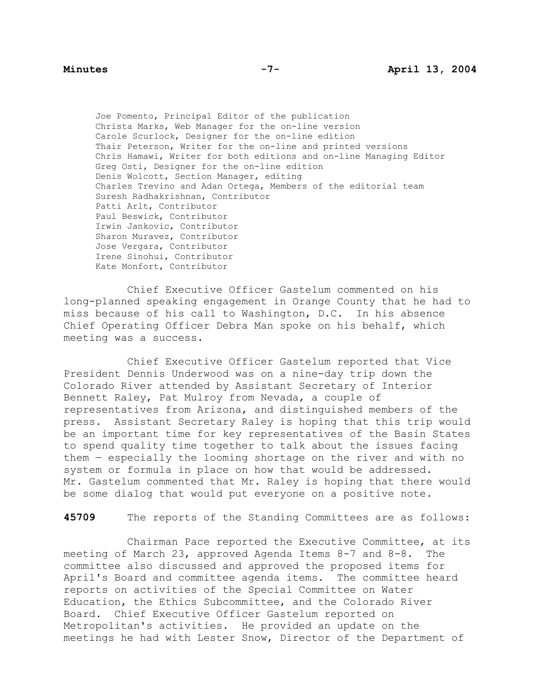Joe Pomento, Principal Editor of the publication Christa Marks, Web Manager for the on-line version Carole Scurlock, Designer for the on-line edition Thair Peterson, Writer for the on-line and printed versions Chris Hamawi, Writer for both editions and on-line Managing Editor Greg Osti, Designer for the on-line edition Denis Wolcott, Section Manager, editing Charles Trevino and Adan Ortega, Members of the editorial team Suresh Radhakrishnan, Contributor Patti Arlt, Contributor Paul Beswick, Contributor Irwin Jankovic, Contributor Sharon Muravez, Contributor Jose Vergara, Contributor Irene Sinohui, Contributor Kate Monfort, Contributor

 Chief Executive Officer Gastelum commented on his long-planned speaking engagement in Orange County that he had to miss because of his call to Washington, D.C. In his absence Chief Operating Officer Debra Man spoke on his behalf, which meeting was a success.

 Chief Executive Officer Gastelum reported that Vice President Dennis Underwood was on a nine-day trip down the Colorado River attended by Assistant Secretary of Interior Bennett Raley, Pat Mulroy from Nevada, a couple of representatives from Arizona, and distinguished members of the press. Assistant Secretary Raley is hoping that this trip would be an important time for key representatives of the Basin States to spend quality time together to talk about the issues facing them — especially the looming shortage on the river and with no system or formula in place on how that would be addressed. Mr. Gastelum commented that Mr. Raley is hoping that there would be some dialog that would put everyone on a positive note.

**45709** The reports of the Standing Committees are as follows:

Chairman Pace reported the Executive Committee, at its meeting of March 23, approved Agenda Items 8-7 and 8-8. The committee also discussed and approved the proposed items for April's Board and committee agenda items. The committee heard reports on activities of the Special Committee on Water Education, the Ethics Subcommittee, and the Colorado River Board. Chief Executive Officer Gastelum reported on Metropolitan's activities. He provided an update on the meetings he had with Lester Snow, Director of the Department of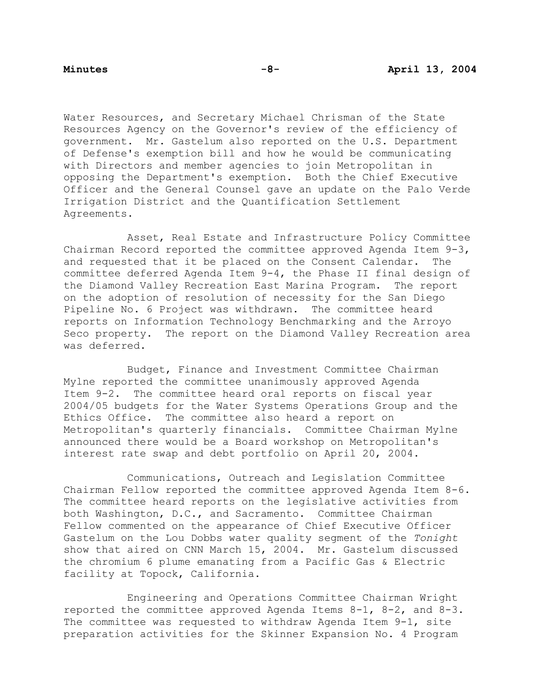Water Resources, and Secretary Michael Chrisman of the State Resources Agency on the Governor's review of the efficiency of government. Mr. Gastelum also reported on the U.S. Department of Defense's exemption bill and how he would be communicating with Directors and member agencies to join Metropolitan in opposing the Department's exemption. Both the Chief Executive Officer and the General Counsel gave an update on the Palo Verde Irrigation District and the Quantification Settlement Agreements.

Asset, Real Estate and Infrastructure Policy Committee Chairman Record reported the committee approved Agenda Item 9-3, and requested that it be placed on the Consent Calendar. The committee deferred Agenda Item 9-4, the Phase II final design of the Diamond Valley Recreation East Marina Program. The report on the adoption of resolution of necessity for the San Diego Pipeline No. 6 Project was withdrawn. The committee heard reports on Information Technology Benchmarking and the Arroyo Seco property. The report on the Diamond Valley Recreation area was deferred.

 Budget, Finance and Investment Committee Chairman Mylne reported the committee unanimously approved Agenda Item 9-2. The committee heard oral reports on fiscal year 2004/05 budgets for the Water Systems Operations Group and the Ethics Office. The committee also heard a report on Metropolitan's quarterly financials. Committee Chairman Mylne announced there would be a Board workshop on Metropolitan's interest rate swap and debt portfolio on April 20, 2004.

Communications, Outreach and Legislation Committee Chairman Fellow reported the committee approved Agenda Item 8-6. The committee heard reports on the legislative activities from both Washington, D.C., and Sacramento. Committee Chairman Fellow commented on the appearance of Chief Executive Officer Gastelum on the Lou Dobbs water quality segment of the *Tonight* show that aired on CNN March 15, 2004. Mr. Gastelum discussed the chromium 6 plume emanating from a Pacific Gas & Electric facility at Topock, California.

 Engineering and Operations Committee Chairman Wright reported the committee approved Agenda Items 8-1, 8-2, and 8-3. The committee was requested to withdraw Agenda Item 9-1, site preparation activities for the Skinner Expansion No. 4 Program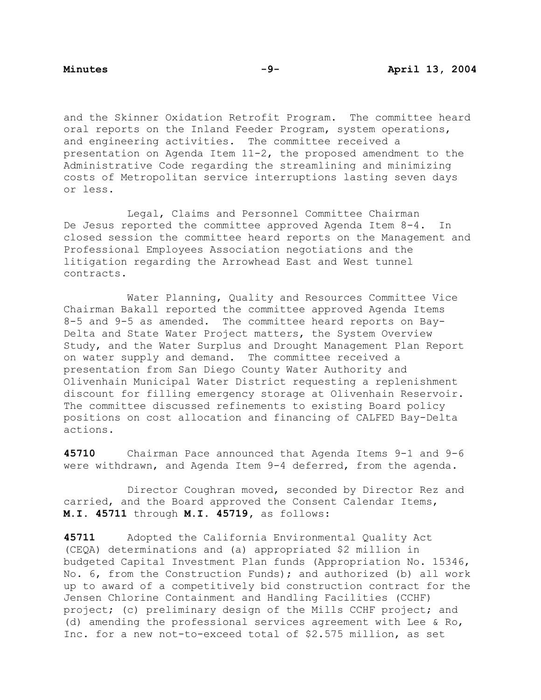and the Skinner Oxidation Retrofit Program. The committee heard oral reports on the Inland Feeder Program, system operations, and engineering activities. The committee received a presentation on Agenda Item 11-2, the proposed amendment to the Administrative Code regarding the streamlining and minimizing costs of Metropolitan service interruptions lasting seven days or less.

 Legal, Claims and Personnel Committee Chairman De Jesus reported the committee approved Agenda Item 8-4. In closed session the committee heard reports on the Management and Professional Employees Association negotiations and the litigation regarding the Arrowhead East and West tunnel contracts.

 Water Planning, Quality and Resources Committee Vice Chairman Bakall reported the committee approved Agenda Items 8-5 and 9-5 as amended. The committee heard reports on Bay-Delta and State Water Project matters, the System Overview Study, and the Water Surplus and Drought Management Plan Report on water supply and demand. The committee received a presentation from San Diego County Water Authority and Olivenhain Municipal Water District requesting a replenishment discount for filling emergency storage at Olivenhain Reservoir. The committee discussed refinements to existing Board policy positions on cost allocation and financing of CALFED Bay-Delta actions.

**45710** Chairman Pace announced that Agenda Items 9-1 and 9-6 were withdrawn, and Agenda Item 9-4 deferred, from the agenda.

 Director Coughran moved, seconded by Director Rez and carried, and the Board approved the Consent Calendar Items, **M.I. 45711** through **M.I. 45719,** as follows:

**45711** Adopted the California Environmental Quality Act (CEQA) determinations and (a) appropriated \$2 million in budgeted Capital Investment Plan funds (Appropriation No. 15346, No. 6, from the Construction Funds); and authorized (b) all work up to award of a competitively bid construction contract for the Jensen Chlorine Containment and Handling Facilities (CCHF) project; (c) preliminary design of the Mills CCHF project; and (d) amending the professional services agreement with Lee & Ro, Inc. for a new not-to-exceed total of \$2.575 million, as set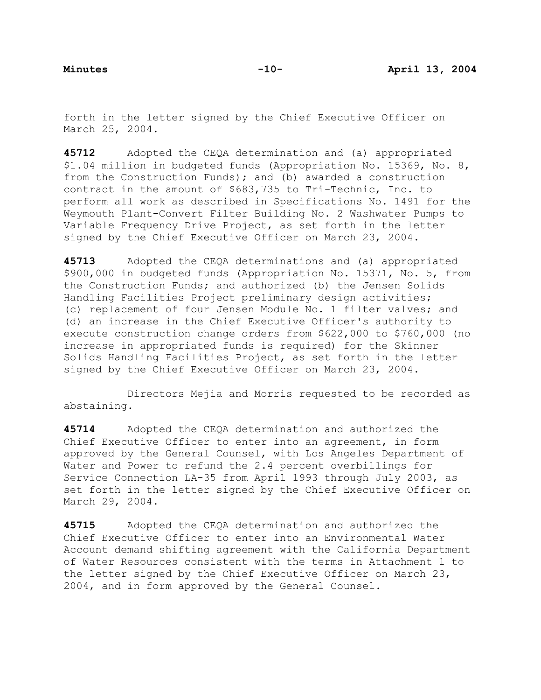forth in the letter signed by the Chief Executive Officer on March 25, 2004.

**45712** Adopted the CEQA determination and (a) appropriated \$1.04 million in budgeted funds (Appropriation No. 15369, No. 8, from the Construction Funds); and (b) awarded a construction contract in the amount of \$683,735 to Tri-Technic, Inc. to perform all work as described in Specifications No. 1491 for the Weymouth Plant-Convert Filter Building No. 2 Washwater Pumps to Variable Frequency Drive Project, as set forth in the letter signed by the Chief Executive Officer on March 23, 2004.

**45713** Adopted the CEQA determinations and (a) appropriated \$900,000 in budgeted funds (Appropriation No. 15371, No. 5, from the Construction Funds; and authorized (b) the Jensen Solids Handling Facilities Project preliminary design activities; (c) replacement of four Jensen Module No. 1 filter valves; and (d) an increase in the Chief Executive Officer's authority to execute construction change orders from \$622,000 to \$760,000 (no increase in appropriated funds is required) for the Skinner Solids Handling Facilities Project, as set forth in the letter signed by the Chief Executive Officer on March 23, 2004.

 Directors Mejia and Morris requested to be recorded as abstaining.

**45714** Adopted the CEQA determination and authorized the Chief Executive Officer to enter into an agreement, in form approved by the General Counsel, with Los Angeles Department of Water and Power to refund the 2.4 percent overbillings for Service Connection LA-35 from April 1993 through July 2003, as set forth in the letter signed by the Chief Executive Officer on March 29, 2004.

**45715** Adopted the CEQA determination and authorized the Chief Executive Officer to enter into an Environmental Water Account demand shifting agreement with the California Department of Water Resources consistent with the terms in Attachment 1 to the letter signed by the Chief Executive Officer on March 23, 2004, and in form approved by the General Counsel.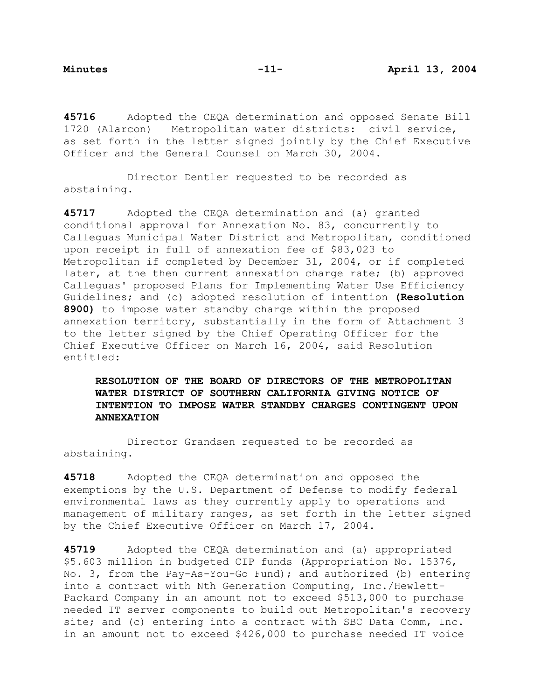**45716** Adopted the CEQA determination and opposed Senate Bill 1720 (Alarcon) – Metropolitan water districts: civil service, as set forth in the letter signed jointly by the Chief Executive Officer and the General Counsel on March 30, 2004.

 Director Dentler requested to be recorded as abstaining.

**45717** Adopted the CEQA determination and (a) granted conditional approval for Annexation No. 83, concurrently to Calleguas Municipal Water District and Metropolitan, conditioned upon receipt in full of annexation fee of \$83,023 to Metropolitan if completed by December 31, 2004, or if completed later, at the then current annexation charge rate; (b) approved Calleguas' proposed Plans for Implementing Water Use Efficiency Guidelines; and (c) adopted resolution of intention **(Resolution 8900)** to impose water standby charge within the proposed annexation territory, substantially in the form of Attachment 3 to the letter signed by the Chief Operating Officer for the Chief Executive Officer on March 16, 2004, said Resolution entitled:

# **RESOLUTION OF THE BOARD OF DIRECTORS OF THE METROPOLITAN WATER DISTRICT OF SOUTHERN CALIFORNIA GIVING NOTICE OF INTENTION TO IMPOSE WATER STANDBY CHARGES CONTINGENT UPON ANNEXATION**

 Director Grandsen requested to be recorded as abstaining.

**45718** Adopted the CEQA determination and opposed the exemptions by the U.S. Department of Defense to modify federal environmental laws as they currently apply to operations and management of military ranges, as set forth in the letter signed by the Chief Executive Officer on March 17, 2004.

**45719** Adopted the CEQA determination and (a) appropriated \$5.603 million in budgeted CIP funds (Appropriation No. 15376, No. 3, from the Pay-As-You-Go Fund); and authorized (b) entering into a contract with Nth Generation Computing, Inc./Hewlett-Packard Company in an amount not to exceed \$513,000 to purchase needed IT server components to build out Metropolitan's recovery site; and (c) entering into a contract with SBC Data Comm, Inc. in an amount not to exceed \$426,000 to purchase needed IT voice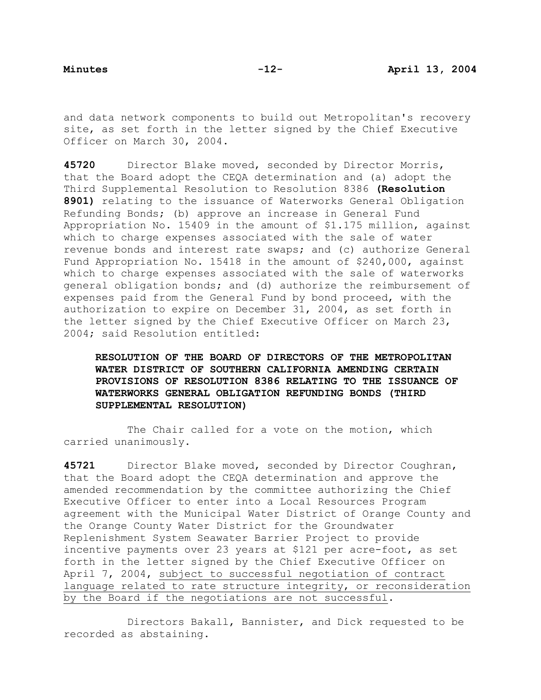and data network components to build out Metropolitan's recovery site, as set forth in the letter signed by the Chief Executive Officer on March 30, 2004.

**45720** Director Blake moved, seconded by Director Morris, that the Board adopt the CEQA determination and (a) adopt the Third Supplemental Resolution to Resolution 8386 **(Resolution 8901)** relating to the issuance of Waterworks General Obligation Refunding Bonds; (b) approve an increase in General Fund Appropriation No. 15409 in the amount of \$1.175 million, against which to charge expenses associated with the sale of water revenue bonds and interest rate swaps; and (c) authorize General Fund Appropriation No. 15418 in the amount of \$240,000, against which to charge expenses associated with the sale of waterworks general obligation bonds; and (d) authorize the reimbursement of expenses paid from the General Fund by bond proceed, with the authorization to expire on December 31, 2004, as set forth in the letter signed by the Chief Executive Officer on March 23, 2004; said Resolution entitled:

**RESOLUTION OF THE BOARD OF DIRECTORS OF THE METROPOLITAN WATER DISTRICT OF SOUTHERN CALIFORNIA AMENDING CERTAIN PROVISIONS OF RESOLUTION 8386 RELATING TO THE ISSUANCE OF WATERWORKS GENERAL OBLIGATION REFUNDING BONDS (THIRD SUPPLEMENTAL RESOLUTION)** 

The Chair called for a vote on the motion, which carried unanimously.

**45721** Director Blake moved, seconded by Director Coughran, that the Board adopt the CEQA determination and approve the amended recommendation by the committee authorizing the Chief Executive Officer to enter into a Local Resources Program agreement with the Municipal Water District of Orange County and the Orange County Water District for the Groundwater Replenishment System Seawater Barrier Project to provide incentive payments over 23 years at \$121 per acre-foot, as set forth in the letter signed by the Chief Executive Officer on April 7, 2004, subject to successful negotiation of contract language related to rate structure integrity, or reconsideration by the Board if the negotiations are not successful.

 Directors Bakall, Bannister, and Dick requested to be recorded as abstaining.